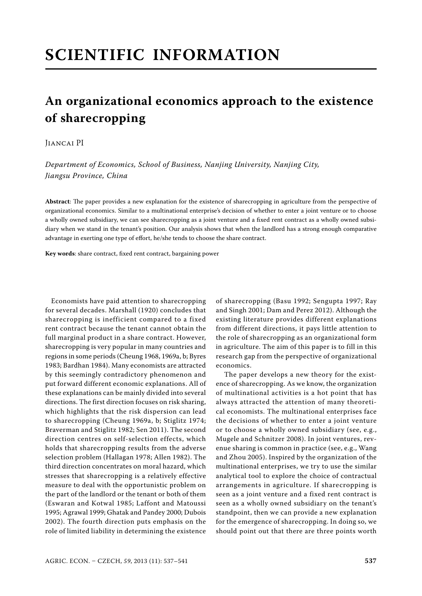# **SCIENTIFIC INFORMATION**

# **An organizational economics approach to the existence of sharecropping**

# Jiancai PI

*Department of Economics, School of Business, Nanjing University, Nanjing City, Jiangsu Province, China*

Abstract: The paper provides a new explanation for the existence of sharecropping in agriculture from the perspective of organizational economics. Similar to a multinational enterprise's decision of whether to enter a joint venture or to choose a wholly owned subsidiary, we can see sharecropping as a joint venture and a fixed rent contract as a wholly owned subsidiary when we stand in the tenant's position. Our analysis shows that when the landlord has a strong enough comparative advantage in exerting one type of effort, he/she tends to choose the share contract.

Key words: share contract, fixed rent contract, bargaining power

Economists have paid attention to sharecropping for several decades. Marshall (1920) concludes that sharecropping is inefficient compared to a fixed rent contract because the tenant cannot obtain the full marginal product in a share contract. However, sharecropping is very popular in many countries and regions in some periods (Cheung 1968, 1969a, b; Byres 1983; Bardhan 1984). Many economists are attracted by this seemingly contradictory phenomenon and put forward different economic explanations. All of these explanations can be mainly divided into several directions. The first direction focuses on risk sharing, which highlights that the risk dispersion can lead to sharecropping (Cheung 1969a, b; Stiglitz 1974; Braverman and Stiglitz 1982; Sen 2011). The second direction centres on self-selection effects, which holds that sharecropping results from the adverse selection problem (Hallagan 1978; Allen 1982). The third direction concentrates on moral hazard, which stresses that sharecropping is a relatively effective measure to deal with the opportunistic problem on the part of the landlord or the tenant or both of them (Eswaran and Kotwal 1985; Laffont and Matoussi 1995; Agrawal 1999; Ghatak and Pandey 2000; Dubois 2002). The fourth direction puts emphasis on the role of limited liability in determining the existence

of sharecropping (Basu 1992; Sengupta 1997; Ray and Singh 2001; Dam and Perez 2012). Although the existing literature provides different explanations from different directions, it pays little attention to the role of sharecropping as an organizational form in agriculture. The aim of this paper is to fill in this research gap from the perspective of organizational economics.

 The paper develops a new theory for the existence of sharecropping. As we know, the organization of multinational activities is a hot point that has always attracted the attention of many theoretical economists. The multinational enterprises face the decisions of whether to enter a joint venture or to choose a wholly owned subsidiary (see, e.g., Mugele and Schnitzer 2008). In joint ventures, revenue sharing is common in practice (see, e.g., Wang and Zhou 2005). Inspired by the organization of the multinational enterprises, we try to use the similar analytical tool to explore the choice of contractual arrangements in agriculture. If sharecropping is seen as a joint venture and a fixed rent contract is seen as a wholly owned subsidiary on the tenant's standpoint, then we can provide a new explanation for the emergence of sharecropping. In doing so, we should point out that there are three points worth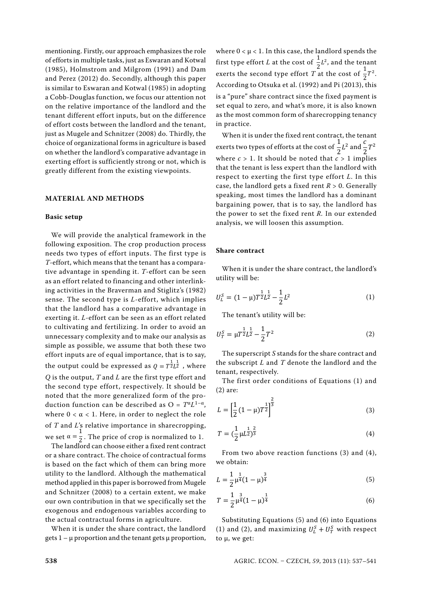mentioning. Firstly, our approach emphasizes the role of efforts in multiple tasks, just as Eswaran and Kotwal (1985), Holmstrom and Milgrom (1991) and Dam and Perez (2012) do. Secondly, although this paper is similar to Eswaran and Kotwal (1985) in adopting a Cobb-Douglas function, we focus our attention not on the relative importance of the landlord and the tenant different effort inputs, but on the difference of effort costs between the landlord and the tenant, just as Mugele and Schnitzer (2008) do. Thirdly, the choice of organizational forms in agriculture is based on whether the landlord's comparative advantage in exerting effort is sufficiently strong or not, which is greatly different from the existing viewpoints.

## **MATERIAL AND METHODS**

#### **Basic setup**

We will provide the analytical framework in the following exposition. The crop production process needs two types of effort inputs. The first type is *T*-effort, which means that the tenant has a comparative advantage in spending it. *T*-effort can be seen as an effort related to financing and other interlinking activities in the Braverman and Stiglitz's (1982) sense. The second type is *L*-effort, which implies that the landlord has a comparative advantage in exerting it. *L*-effort can be seen as an effort related to cultivating and fertilizing. In order to avoid an unnecessary complexity and to make our analysis as simple as possible, we assume that both these two effort inputs are of equal importance, that is to say, the output could be expressed as  $Q = T^{\frac{1}{2}} L^{\frac{1}{2}}$  , where *Q* is the output, *T* and *L* are the first type effort and the second type effort, respectively. It should be noted that the more generalized form of the production function can be described as  $O = T^{\alpha}L^{1-\alpha}$ , where  $0 < \alpha < 1$ . Here, in order to neglect the role of *T* and *L*'s relative importance in sharecropping, we set  $\alpha = \frac{1}{2}$ . The price of crop is normalized to 1.

The landlord can choose either a fixed rent contract or a share contract. The choice of contractual forms is based on the fact which of them can bring more utility to the landlord. Although the mathematical method applied in this paper is borrowed from Mugele and Schnitzer (2008) to a certain extent, we make our own contribution in that we specifically set the exogenous and endogenous variables according to the actual contractual forms in agriculture.

When it is under the share contract, the landlord gets  $1 - \mu$  proportion and the tenant gets  $\mu$  proportion, where  $0 < \mu < 1$ . In this case, the landlord spends the first type effort *L* at the cost of  $\frac{1}{2}L^2$ , and the tenant exerts the second type effort *T* at the cost of  $\frac{1}{2}T^2$ . According to Otsuka et al. (1992) and Pi (2013), this is a "pure" share contract since the fixed payment is set equal to zero, and what's more, it is also known as the most common form of sharecropping tenancy in practice.

When it is under the fixed rent contract, the tenant exerts two types of efforts at the cost of  $\frac{1}{2}L^2$  and  $\frac{c}{2}T^2$ where  $c > 1$ . It should be noted that  $c > 1$  implies that the tenant is less expert than the landlord with respect to exerting the first type effort *L*. In this case, the landlord gets a fixed rent *R* > 0. Generally speaking, most times the landlord has a dominant bargaining power, that is to say, the landlord has the power to set the fixed rent *R.* In our extended analysis, we will loosen this assumption.

## **Share contract**

When it is under the share contract, the landlord's utility will be:

$$
U_L^S = (1 - \mu) T^{\frac{1}{2}} L^{\frac{1}{2}} - \frac{1}{2} L^2
$$
 (1)

The tenant's utility will be:

$$
U_T^S = \mu T^{\frac{1}{2}} L^{\frac{1}{2}} - \frac{1}{2} T^2
$$
 (2)

The superscript *S* stands for the share contract and the subscript *L* and *T* denote the landlord and the tenant, respectively.

The first order conditions of Equations (1) and (2) are:

$$
L = \left[\frac{1}{2}(1-\mu)T^{\frac{1}{2}}\right]^{\frac{2}{3}}
$$
\n(3)

$$
T = \left(\frac{1}{2}\mu L^{\frac{1}{2}}\right)^{\frac{2}{3}}\tag{4}
$$

From two above reaction functions (3) and (4), we obtain:

$$
L = \frac{1}{2} \mu^{\frac{1}{4}} (1 - \mu)^{\frac{3}{4}}
$$
 (5)

$$
T = \frac{1}{2} \mu^{\frac{3}{4}} (1 - \mu)^{\frac{1}{4}}
$$
 (6)

Substituting Equations (5) and (6) into Equations (1) and (2), and maximizing  $U_L^S + U_T^S$  with respect to μ, we get: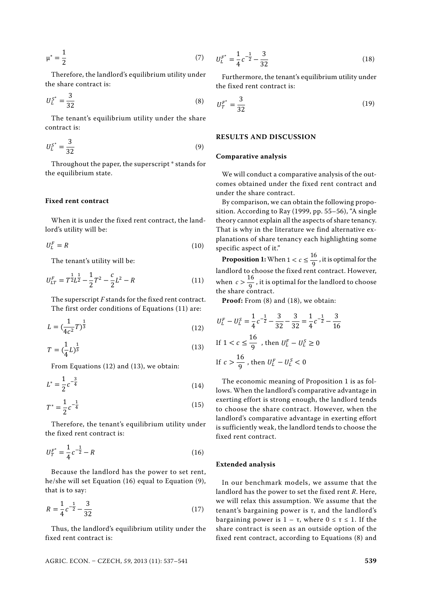$$
\mu^* = \frac{1}{2} \tag{7}
$$

Therefore, the landlord's equilibrium utility under the share contract is:

$$
U_L^{S^*} = \frac{3}{32} \tag{8}
$$

The tenant's equilibrium utility under the share contract is:

$$
U_L^{S^*} = \frac{3}{32} \tag{9}
$$

Throughout the paper, the superscript \* stands for the equilibrium state.

#### **Fixed rent contract**

When it is under the fixed rent contract, the landlord's utility will be:

$$
U_L^F = R \tag{10}
$$

The tenant's utility will be:

$$
U_{LT}^F = T^{\frac{1}{2}}L^{\frac{1}{2}} - \frac{1}{2}T^2 - \frac{c}{2}L^2 - R
$$
 (11)

The superscript *F* stands for the fixed rent contract. The first order conditions of Equations (11) are:

$$
L = \left(\frac{1}{4c^2}T\right)^{\frac{1}{3}}\tag{12}
$$

$$
T = \left(\frac{1}{4}L\right)^{\frac{1}{3}}\tag{13}
$$

From Equations (12) and (13), we obtain:

$$
L^* = \frac{1}{2}c^{-\frac{3}{4}}\tag{14}
$$

$$
T^* = \frac{1}{2}c^{-\frac{1}{4}}\tag{15}
$$

Therefore, the tenant's equilibrium utility under the fixed rent contract is:

$$
U_T^{F^*} = \frac{1}{4}c^{-\frac{1}{2}} - R
$$
\n(16)

Because the landlord has the power to set rent, he/she will set Equation (16) equal to Equation (9), that is to say:

$$
R = \frac{1}{4}c^{-\frac{1}{2}} - \frac{3}{32}
$$
 (17)

Thus, the landlord's equilibrium utility under the fixed rent contract is:

**Extended analysis**

In our benchmark models, we assume that the landlord has the power to set the fixed rent *R*. Here, we will relax this assumption. We assume that the tenant's bargaining power is τ, and the landlord's bargaining power is  $1 - \tau$ , where  $0 \le \tau \le 1$ . If the share contract is seen as an outside option of the fixed rent contract, according to Equations (8) and

**Comparative analysis**

**RESULTS AND DISCUSSION**

 $U_L^{F^*} = \frac{1}{4}c^{-\frac{1}{2}} - \frac{3}{32}$ 

 $U_T^{F^*} = \frac{3}{2}$ 

the fixed rent contract is:

We will conduct a comparative analysis of the outcomes obtained under the fixed rent contract and under the share contract.

 $\frac{1}{32}$  (18)

Furthermore, the tenant's equilibrium utility under

 $rac{5}{32}$  (19)

By comparison, we can obtain the following proposition. According to Ray (1999, pp. 55–56), "A single theory cannot explain all the aspects of share tenancy. That is why in the literature we find alternative explanations of share tenancy each highlighting some specific aspect of it."

**Proposition 1:** When  $1 < c \leq \frac{16}{9}$ , it is optimal for the landlord to choose the fixed rent contract. However, when  $c > \frac{16}{9}$ , it is optimal for the landlord to choose the share contract.

Proof: From (8) and (18), we obtain:

$$
U_L^F - U_L^S = \frac{1}{4}c^{-\frac{1}{2}} - \frac{3}{32} - \frac{3}{32} = \frac{1}{4}c^{-\frac{1}{2}} - \frac{3}{16}
$$
  
If  $1 < c \le \frac{16}{9}$ , then  $U_L^F - U_L^S \ge 0$   
If  $c > \frac{16}{9}$ , then  $U_L^F - U_L^S < 0$ 

The economic meaning of Proposition 1 is as follows. When the landlord's comparative advantage in exerting effort is strong enough, the landlord tends to choose the share contract. However, when the landlord's comparative advantage in exerting effort is sufficiently weak, the landlord tends to choose the fixed rent contract.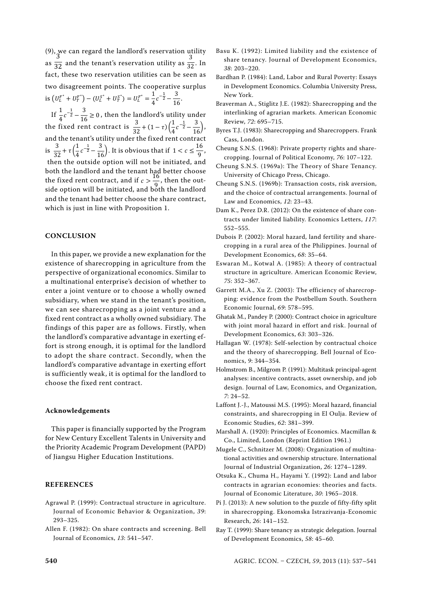(9), we can regard the landlord's reservation utility as ͵  $\overline{32}$  and the tenant's reservation utility as ͵  $\overline{32}$ . In fact, these two reservation utilities can be seen as two disagreement points. The cooperative surplus is  $(U_L^{F^*} + U_T^{F^*}) - (U_L^{S^*} + U_T^{S^*}) = U_L^{F^*} = \frac{1}{4}c^{-\frac{1}{2}} - \frac{3}{16}$ . If  $\frac{1}{4}c^{-\frac{1}{2}} - \frac{3}{16} \ge 0$ , then the landlord's utility under the fixed rent contract is  $\frac{3}{32} + (1 - \tau) \left( \frac{1}{4} c^{-\frac{1}{2}} - \frac{3}{16} \right)$ , and the tenant's utility under the fixed rent contract

is  $\frac{3}{32} + \tau \left( \frac{1}{4} c^{-\frac{1}{2}} - \frac{3}{16} \right)$ . It is obvious that if  $1 < c \le \frac{16}{9}$ , then the outside option will not be initiated, and both the landlord and the tenant had better choose the fixed rent contract, and if  $c > \frac{16}{9}$ , then the outside option will be initiated, and both the landlord and the tenant had better choose the share contract, which is just in line with Proposition 1.

#### **CONCLUSION**

In this paper, we provide a new explanation for the existence of sharecropping in agriculture from the perspective of organizational economics. Similar to a multinational enterprise's decision of whether to enter a joint venture or to choose a wholly owned subsidiary, when we stand in the tenant's position, we can see sharecropping as a joint venture and a fixed rent contract as a wholly owned subsidiary. The findings of this paper are as follows. Firstly, when the landlord's comparative advantage in exerting effort is strong enough, it is optimal for the landlord to adopt the share contract. Secondly, when the landlord's comparative advantage in exerting effort is sufficiently weak, it is optimal for the landlord to choose the fixed rent contract.

#### **Acknowledgeme nts**

This paper is financially supported by the Program for New Century Excellent Talents in University and the Priority Academic Program Development (PAPD) of Jiangsu Higher Education Institutions.

#### **REFERENCES**

- Agrawal P. (1999): Contractual structure in agriculture. Journal of Economic Behavior & Organization, *39*: 293–325.
- Allen F. (1982): On share contracts and screening. Bell Journal of Economics, *13*: 541–547.
- Basu K. (1992): Limited liability and the existence of share tenancy. Journal of Development Economics, *38*: 203–220.
- Bardhan P. (1984): Land, Labor and Rural Poverty: Essays in Development Economics. Columbia University Press, New York.
- Braverman A., Stiglitz J.E. (1982): Sharecropping and the interlinking of agrarian markets. American Economic Review, *72*: 695–715.
- Byres T.J. (1983): Sharecropping and Sharecroppers. Frank Cass, London.
- Cheung S.N.S. (1968): Private property rights and sharecropping. Journal of Political Economy, *76*: 107–122.
- Cheung S.N.S. (1969a): The Theory of Share Tenancy. University of Chicago Press, Chicago.
- Cheung S.N.S. (1969b): Transaction costs, risk aversion, and the choice of contractual arrangements. Journal of Law and Economics, *12*: 23–43.
- Dam K., Perez D.R. (2012): On the existence of share contracts under limited liability. Economics Letters, *117*: 552–555.
- Dubois P. (2002): Moral hazard, land fertility and sharecropping in a rural area of the Philippines. Journal of Development Economics, *68*: 35–64.
- Eswaran M., Kotwal A. (1985): A theory of contractual structure in agriculture. American Economic Review, *75*: 352–367.
- Garrett M.A., Xu Z. (2003): The efficiency of sharecropping: evidence from the Postbellum South. Southern Economic Journal, *69*: 578–595.
- Ghatak M., Pandey P. (2000): Contract choice in agriculture with joint moral hazard in effort and risk. Journal of Development Economics, *63*: 303–326.
- Hallagan W. (1978): Self-selection by contractual choice and the theory of sharecropping. Bell Journal of Economics, *9*: 344–354.
- Holmstrom B., Milgrom P. (1991): Multitask principal-agent analyses: incentive contracts, asset ownership, and job design. Journal of Law, Economics, and Organization, *7*: 24–52.
- Laffont J.-J., Matoussi M.S. (1995): Moral hazard, financial constraints, and sharecropping in El Oulja. Review of Economic Studies, *62*: 381–399.
- Marshall A. (1920): Principles of Economics. Macmillan & Co., Limited, London (Reprint Edition 1961.)
- Mugele C., Schnitzer M. (2008): Organization of multinational activities and ownership structure. International Journal of Industrial Organization, *26*: 1274–1289.
- Otsuka K., Chuma H., Hayami Y. (1992): Land and labor contracts in agrarian economies: theories and facts. Journal of Economic Literature, *30*: 1965–2018.
- Pi J. (2013): A new solution to the puzzle of fifty-fifty split in sharecropping. Ekonomska Istrazivanja-Economic Research, *26*: 141–152.
- Ray T. (1999): Share tenancy as strategic delegation. Journal of Development Economics, *58*: 45–60.